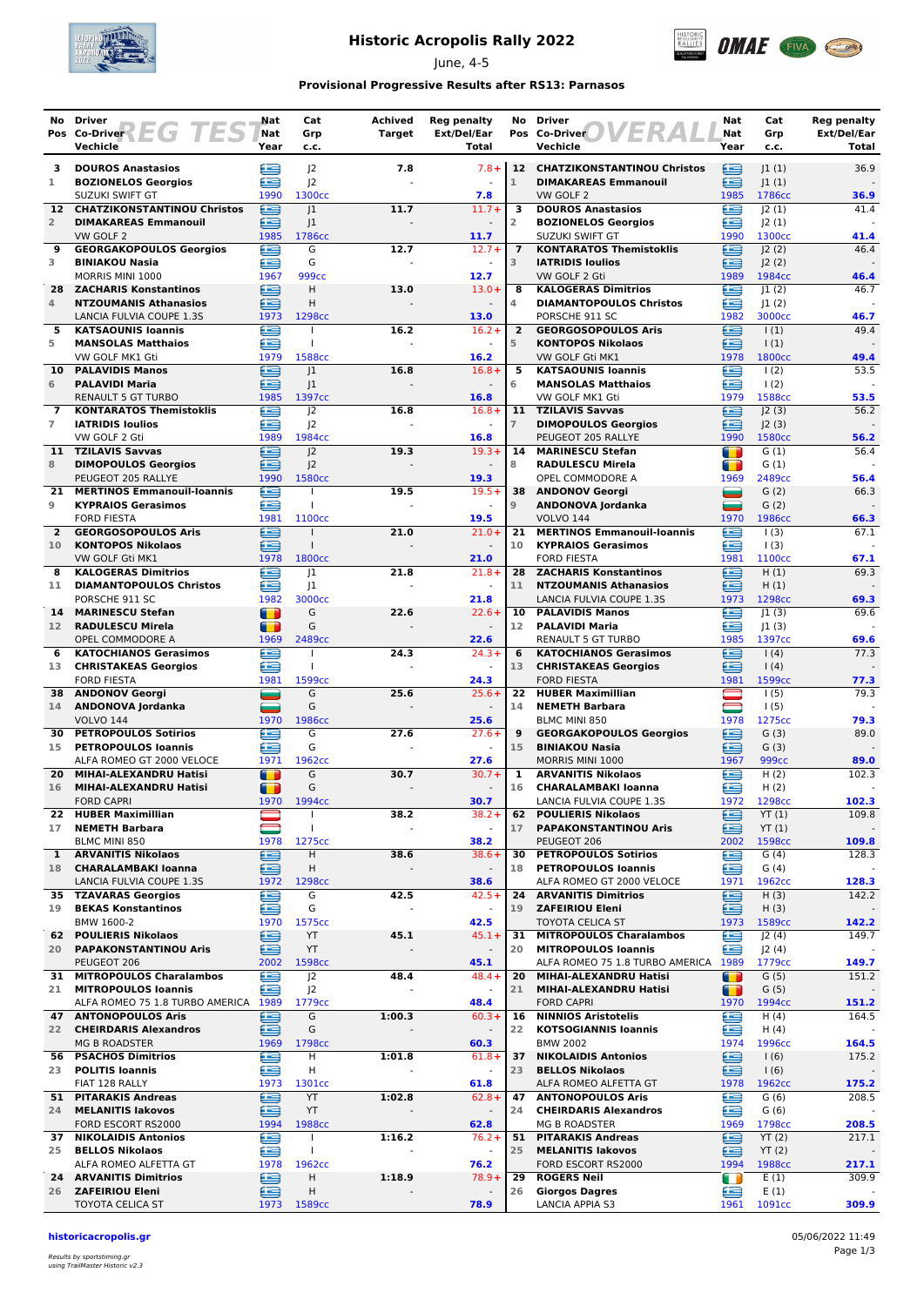

## **Historic Acropolis Rally 2022**

June, 4-5



### **Provisional Progressive Results after RS13: Parnasos**

|                                            | No Driver                                                                                | Nat         | Cat                                  | <b>Achived</b>           | <b>Reg penalty</b>                  | No                   | <b>Driver</b>                                                 | Nat            | Cat                               | Reg penalty          |
|--------------------------------------------|------------------------------------------------------------------------------------------|-------------|--------------------------------------|--------------------------|-------------------------------------|----------------------|---------------------------------------------------------------|----------------|-----------------------------------|----------------------|
|                                            | Pos Co-Driver $\left\{\begin{array}{c} \begin{array}{c} \end{array}\right\}$<br>Vechicle | Nat<br>Year | Grp<br>c.c.                          | <b>Target</b>            | Ext/Del/Ear<br>Total                |                      | Pos Co-Driver<br>Vechicle                                     | Nat<br>Year    | Grp<br>c.c.                       | Ext/Del/Ear<br>Total |
|                                            |                                                                                          |             |                                      |                          |                                     |                      |                                                               |                |                                   |                      |
| з<br>1                                     | <b>DOUROS Anastasios</b><br><b>BOZIONELOS Georgios</b>                                   | ⋐<br>æ      | J <sup>2</sup><br>J <sub>2</sub>     | 7.8                      | $7.8 +$                             | $\mathbf{1}$         | 12 CHATZIKONSTANTINOU Christos<br><b>DIMAKAREAS Emmanouil</b> | ఆ<br>£         | 1(1) <br> 1(1)                    | 36.9                 |
|                                            | SUZUKI SWIFT GT                                                                          | 1990        | 1300cc                               |                          | 7.8                                 |                      | VW GOLF 2                                                     | 1985           | 1786cc                            | 36.9                 |
| $12-12$                                    | <b>CHATZIKONSTANTINOU Christos</b>                                                       | ≘           | 1                                    | 11.7                     | $11.7+$                             | 3                    | <b>DOUROS Anastasios</b>                                      | £              | 2(1)                              | 41.4                 |
| $\overline{2}$                             | <b>DIMAKAREAS Emmanouil</b><br>VW GOLF 2                                                 | ≘<br>1985   | 1<br>1786cc                          |                          | 11.7                                | 2                    | <b>BOZIONELOS Georgios</b><br>SUZUKI SWIFT GT                 | £<br>1990      | 2(1) <br>1300cc                   | 41.4                 |
| 9                                          | <b>GEORGAKOPOULOS Georgios</b>                                                           | æ           | G                                    | 12.7                     | $12.7+$                             | $\overline{7}$       | <b>KONTARATOS Themistoklis</b>                                | Œ              | J2(2)                             | 46.4                 |
| 3                                          | <b>BINIAKOU Nasia</b>                                                                    | £           | G                                    |                          | $\omega$                            | 3                    | <b>IATRIDIS Ioulios</b>                                       | £              | J2(2)                             |                      |
|                                            | MORRIS MINI 1000                                                                         | 1967        | 999 <sub>cc</sub>                    |                          | 12.7                                |                      | VW GOLF 2 Gti                                                 | 1989           | 1984cc                            | 46.4                 |
| 28<br>4                                    | <b>ZACHARIS Konstantinos</b><br><b>NTZOUMANIS Athanasios</b>                             | e<br>Œ      | H<br>H                               | 13.0                     | $13.0+$                             | 8<br>4               | <b>KALOGERAS Dimitrios</b><br><b>DIAMANTOPOULOS Christos</b>  | œ<br>£         | J1(2)<br>J1(2)                    | 46.7                 |
|                                            | LANCIA FULVIA COUPE 1.3S                                                                 | 1973        | 1298cc                               |                          | 13.0                                |                      | PORSCHE 911 SC                                                | 1982           | 3000cc                            | 46.7                 |
| 5                                          | <b>KATSAOUNIS Ioannis</b>                                                                | £           | T                                    | 16.2                     | $16.2 +$                            | $\overline{2}$       | <b>GEORGOSOPOULOS Aris</b>                                    | Ħ              | $\vert$ (1)                       | 49.4                 |
| 5                                          | <b>MANSOLAS Matthaios</b><br>VW GOLF MK1 Gti                                             | £<br>1979   | $\mathbf{I}$<br>1588cc               |                          | $\sim$<br>16.2                      | 5                    | <b>KONTOPOS Nikolaos</b><br>VW GOLF Gti MK1                   | £<br>1978      | $\vert$ (1)<br>1800 <sub>cc</sub> | 49.4                 |
| 10                                         | <b>PALAVIDIS Manos</b>                                                                   | œ           | 1                                    | 16.8                     | $16.8+$                             | 5                    | <b>KATSAOUNIS Ioannis</b>                                     | œ              | 1(2)                              | 53.5                 |
| 6                                          | <b>PALAVIDI Maria</b>                                                                    | ⋐           | 1                                    |                          | $\blacksquare$                      | 6                    | <b>MANSOLAS Matthaios</b>                                     | £              | $\frac{1(2)}{2}$                  |                      |
|                                            | <b>RENAULT 5 GT TURBO</b>                                                                | 1985        | 1397cc                               |                          | 16.8                                |                      | VW GOLF MK1 Gti                                               | 1979           | 1588cc                            | 53.5                 |
| $\overline{\phantom{a}}$<br>$\overline{7}$ | <b>KONTARATOS Themistoklis</b><br><b>IATRIDIS Ioulios</b>                                | ≘<br>£      | 2<br>J <sup>2</sup>                  | 16.8                     | $16.8+$                             | 11<br>$\overline{7}$ | <b>TZILAVIS Savvas</b><br><b>DIMOPOULOS Georgios</b>          | £<br>£         | 2(3) <br>J2(3)                    | 56.2                 |
|                                            | VW GOLF 2 Gti                                                                            | 1989        | 1984cc                               |                          | 16.8                                |                      | PEUGEOT 205 RALLYE                                            | 1990           | 1580cc                            | 56.2                 |
| 11                                         | <b>TZILAVIS Savvas</b>                                                                   | ⋐           | 2                                    | 19.3                     | $19.3+$                             | 14                   | <b>MARINESCU Stefan</b>                                       | т              | G(1)                              | 56.4                 |
| 8                                          | <b>DIMOPOULOS Georgios</b>                                                               | æ           | J <sup>2</sup>                       |                          |                                     | 8                    | <b>RADULESCU Mirela</b>                                       | $\blacksquare$ | G(1)                              |                      |
| 21.                                        | PEUGEOT 205 RALLYE<br><b>MERTINOS Emmanouil-Ioannis</b>                                  | 1990<br>œ   | 1580 <sub>cc</sub>                   | 19.5                     | 19.3<br>$19.5+$                     | 38                   | OPEL COMMODORE A<br><b>ANDONOV Georgi</b>                     | 1969<br>▄      | 2489cc<br>G(2)                    | 56.4<br>66.3         |
| 9                                          | <b>KYPRAIOS Gerasimos</b>                                                                | £           | $\overline{1}$                       |                          | $\omega$                            | $\mathbf 9$          | ANDONOVA Jordanka                                             | =              | G(2)                              |                      |
|                                            | <b>FORD FIESTA</b>                                                                       | 1981        | 1100 <sub>cc</sub>                   |                          | 19.5                                |                      | <b>VOLVO 144</b>                                              | 1970           | 1986cc                            | 66.3                 |
| $\overline{2}$                             | <b>GEORGOSOPOULOS Aris</b>                                                               | £           | $\mathbf{I}$                         | 21.0                     | $21.0+$                             | 21                   | <b>MERTINOS Emmanouil-Ioannis</b>                             | œ              | 1(3)                              | 67.1                 |
| 10                                         | <b>KONTOPOS Nikolaos</b><br>VW GOLF Gti MK1                                              | ∈<br>1978   | $\mathbf{I}$<br>1800cc               |                          | 21.0                                | 10                   | <b>KYPRAIOS Gerasimos</b><br><b>FORD FIESTA</b>               | £<br>1981      | $\vert$ (3)<br>1100cc             | 67.1                 |
| 8                                          | <b>KALOGERAS Dimitrios</b>                                                               | œ           | 1                                    | 21.8                     | $21.8+$                             |                      | 28 ZACHARIS Konstantinos                                      | £              | H(1)                              | 69.3                 |
| 11                                         | <b>DIAMANTOPOULOS Christos</b>                                                           | œ           | 1                                    |                          |                                     | 11                   | <b>NTZOUMANIS Athanasios</b>                                  | ≘              | H(1)                              |                      |
|                                            | PORSCHE 911 SC                                                                           | 1982        | 3000cc<br>G                          |                          | 21.8<br>$22.6+$                     | 10                   | LANCIA FULVIA COUPE 1.3S                                      | 1973           | 1298cc                            | 69.3<br>69.6         |
| 14<br>12 <sup>7</sup>                      | <b>MARINESCU Stefan</b><br><b>RADULESCU Mirela</b>                                       | Т<br>т      | G                                    | 22.6                     | $\blacksquare$                      | 12 <sup>7</sup>      | <b>PALAVIDIS Manos</b><br><b>PALAVIDI Maria</b>               | e<br>æ         | 1(3) <br> 1(3)                    |                      |
|                                            | OPEL COMMODORE A                                                                         | 1969        | 2489 <sub>cc</sub>                   |                          | 22.6                                |                      | <b>RENAULT 5 GT TURBO</b>                                     | 1985           | 1397cc                            | 69.6                 |
| 6                                          | <b>KATOCHIANOS Gerasimos</b>                                                             | œ           |                                      | 24.3                     | $24.3+$                             | 6                    | <b>KATOCHIANOS Gerasimos</b>                                  | £              | 1(4)                              | 77.3                 |
| 13                                         | <b>CHRISTAKEAS Georgios</b>                                                              | £<br>1981   | T                                    |                          |                                     | 13                   | <b>CHRISTAKEAS Georgios</b>                                   | £<br>1981      | 1(4)                              |                      |
| 38                                         | <b>FORD FIESTA</b><br><b>ANDONOV Georgi</b>                                              | _           | 1599cc<br>G                          | 25.6                     | 24.3<br>$25.6+$                     | 22                   | <b>FORD FIESTA</b><br><b>HUBER Maximillian</b>                |                | 1599cc<br>1(5)                    | 77.3<br>79.3         |
| 14                                         | ANDONOVA Jordanka                                                                        | د           | G                                    |                          | $\blacksquare$                      | 14                   | <b>NEMETH Barbara</b>                                         |                | 1(5)                              |                      |
|                                            | <b>VOLVO 144</b>                                                                         | 1970        | 1986cc                               |                          | 25.6                                |                      | <b>BLMC MINI 850</b>                                          | 1978           | 1275cc                            | 79.3                 |
| 30<br>15                                   | <b>PETROPOULOS Sotirios</b><br><b>PETROPOULOS loannis</b>                                | œ<br>æ      | G<br>G                               | 27.6                     | $27.6+$<br>$\blacksquare$           | 9<br>15              | <b>GEORGAKOPOULOS Georgios</b><br><b>BINIAKOU Nasia</b>       | e<br>£         | G(3)<br>G(3)                      | 89.0                 |
|                                            | ALFA ROMEO GT 2000 VELOCE                                                                | 1971        | 1962cc                               |                          | 27.6                                |                      | MORRIS MINI 1000                                              | 1967           | 999 <sub>cc</sub>                 | 89.0                 |
| 20                                         | MIHAI-ALEXANDRU Hatisi                                                                   | T           | G                                    | 30.7                     | $30.7 +$                            | 1                    | <b>ARVANITIS Nikolaos</b>                                     | ⋐              | H(2)                              | 102.3                |
| 16                                         | MIHAI-ALEXANDRU Hatisi<br><b>FORD CAPRI</b>                                              | T           | G                                    |                          | 30.7                                | 16                   | <b>CHARALAMBAKI Ioanna</b>                                    | ≘<br>1972      | H(2)                              | 102.3                |
| 22                                         | <b>HUBER Maximillian</b>                                                                 | 1970        | 1994cc<br>$\mathbf{I}$               | 38.2                     | $38.2 +$                            | 62                   | LANCIA FULVIA COUPE 1.3S<br><b>POULIERIS Nikolaos</b>         | ≘              | 1298cc<br>YT(1)                   | 109.8                |
| 17                                         | <b>NEMETH Barbara</b>                                                                    |             | $\mathbf{I}$                         | $\overline{\phantom{a}}$ | $\blacksquare$                      | 17                   | <b>PAPAKONSTANTINOU Aris</b>                                  | ≘              | YT(1)                             |                      |
|                                            | BLMC MINI 850                                                                            | 1978        | 1275cc                               |                          | 38.2                                |                      | PEUGEOT 206                                                   | 2002           | 1598cc                            | 109.8                |
| $\mathbf{1}$<br>18                         | <b>ARVANITIS Nikolaos</b><br><b>CHARALAMBAKI Ioanna</b>                                  | ∈<br>∈      | H<br>н                               | 38.6                     | $38.6+$<br>$\overline{\phantom{a}}$ | 30<br>18             | <b>PETROPOULOS Sotirios</b><br><b>PETROPOULOS Ioannis</b>     | œ<br>≘         | G(4)<br>G(4)                      | 128.3                |
|                                            | LANCIA FULVIA COUPE 1.3S                                                                 | 1972        | 1298 <sub>cc</sub>                   |                          | 38.6                                |                      | ALFA ROMEO GT 2000 VELOCE                                     | 1971           | 1962cc                            | 128.3                |
|                                            | 35 TZAVARAS Georgios                                                                     | ⊜           | G                                    | 42.5                     | $42.5+$                             | 24                   | <b>ARVANITIS Dimitrios</b>                                    | ⋐              | H(3)                              | 142.2                |
| 19                                         | <b>BEKAS Konstantinos</b>                                                                | e           | G                                    |                          | $\overline{\phantom{a}}$            | 19                   | <b>ZAFEIRIOU Eleni</b>                                        | ≘              | H(3)                              |                      |
| 62                                         | BMW 1600-2<br><b>POULIERIS Nikolaos</b>                                                  | 1970<br>œ   | 1575cc<br>YT                         | 45.1                     | 42.5<br>$45.1 +$                    | 31                   | <b>TOYOTA CELICA ST</b><br><b>MITROPOULOS Charalambos</b>     | 1973<br>œ      | 1589cc<br>J2(4)                   | 142.2<br>149.7       |
| 20                                         | <b>PAPAKONSTANTINOU Aris</b>                                                             | œ           | YT                                   | $\blacksquare$           | $\overline{\phantom{a}}$            | 20                   | <b>MITROPOULOS Ioannis</b>                                    | £              | J2(4)                             |                      |
|                                            | PEUGEOT 206                                                                              | 2002        | 1598cc                               |                          | 45.1                                |                      | ALFA ROMEO 75 1.8 TURBO AMERICA                               | 1989           | 1779 <sub>cc</sub>                | 149.7                |
| 21                                         | 31 MITROPOULOS Charalambos                                                               | £<br>œ      | J <sup>2</sup>                       | 48.4                     | $48.4 +$                            | 20<br>21             | MIHAI-ALEXANDRU Hatisi                                        | Т              | G(5)                              | 151.2                |
|                                            | <b>MITROPOULOS Ioannis</b><br>ALFA ROMEO 75 1.8 TURBO AMERICA 1989                       |             | J <sup>2</sup><br>1779 <sub>cc</sub> |                          | 48.4                                |                      | MIHAI-ALEXANDRU Hatisi<br><b>FORD CAPRI</b>                   | т<br>1970      | G(5)<br>1994cc                    | 151.2                |
|                                            | <b>47 ANTONOPOULOS Aris</b>                                                              | ⊜           | G                                    | 1:00.3                   | $60.3+$                             | 16                   | <b>NINNIOS Aristotelis</b>                                    | ≘              | H(4)                              | 164.5                |
| 22                                         | <b>CHEIRDARIS Alexandros</b>                                                             | £           | G                                    |                          |                                     | 22                   | <b>KOTSOGIANNIS Ioannis</b>                                   | ≘              | H(4)                              |                      |
|                                            | <b>MG B ROADSTER</b><br>56 PSACHOS Dimitrios                                             | 1969<br>œ   | 1798cc<br>H                          | 1:01.8                   | 60.3<br>$61.8+$                     | 37                   | <b>BMW 2002</b><br><b>NIKOLAIDIS Antonios</b>                 | 1974<br>€      | 1996cc<br>1(6)                    | 164.5<br>175.2       |
|                                            | 23 POLITIS Ioannis                                                                       | ≘           | Н                                    | $\sim$                   | $\overline{\phantom{a}}$            | 23                   | <b>BELLOS Nikolaos</b>                                        | ∈              | 1(6)                              |                      |
|                                            | FIAT 128 RALLY                                                                           | 1973        | 1301cc                               |                          | 61.8                                |                      | ALFA ROMEO ALFETTA GT                                         | 1978           | 1962 <sub>cc</sub>                | 175.2                |
|                                            | 51 PITARAKIS Andreas                                                                     | ⋐           | YT                                   | 1:02.8                   | $62.8+$                             | 47                   | <b>ANTONOPOULOS Aris</b>                                      | £              | G(6)                              | 208.5                |
| 24                                         | <b>MELANITIS lakovos</b><br>FORD ESCORT RS2000                                           | ≘<br>1994   | YT<br>1988 <sub>cc</sub>             |                          | $\overline{\phantom{a}}$<br>62.8    | 24                   | <b>CHEIRDARIS Alexandros</b><br>MG B ROADSTER                 | £<br>1969      | G(6)<br>1798cc                    | 208.5                |
|                                            | <b>37 NIKOLAIDIS Antonios</b>                                                            | e           | $\overline{1}$                       | 1:16.2                   | $76.2 +$                            | 51                   | <b>PITARAKIS Andreas</b>                                      | ⊟              | YT(2)                             | 217.1                |
| 25                                         | <b>BELLOS Nikolaos</b>                                                                   | ≘           | $\mathsf{I}$                         |                          | $\blacksquare$                      | 25                   | <b>MELANITIS lakovos</b>                                      | ≘              | YT(2)                             |                      |
|                                            | ALFA ROMEO ALFETTA GT<br><b>24 ARVANITIS Dimitrios</b>                                   | 1978<br>€   | 1962cc<br>н                          | 1:18.9                   | 76.2<br>$78.9+$                     | 29                   | FORD ESCORT RS2000<br><b>ROGERS Neil</b>                      | 1994<br>m      | 1988cc<br>E(1)                    | 217.1<br>309.9       |
|                                            | 26 ZAFEIRIOU Eleni                                                                       | £           | н                                    |                          | $\blacksquare$                      | 26                   | <b>Giorgos Dagres</b>                                         | £              | E(1)                              |                      |
|                                            | <b>TOYOTA CELICA ST</b>                                                                  | 1973        | 1589cc                               |                          | 78.9                                |                      | LANCIA APPIA S3                                               | 1961           | 1091cc                            | 309.9                |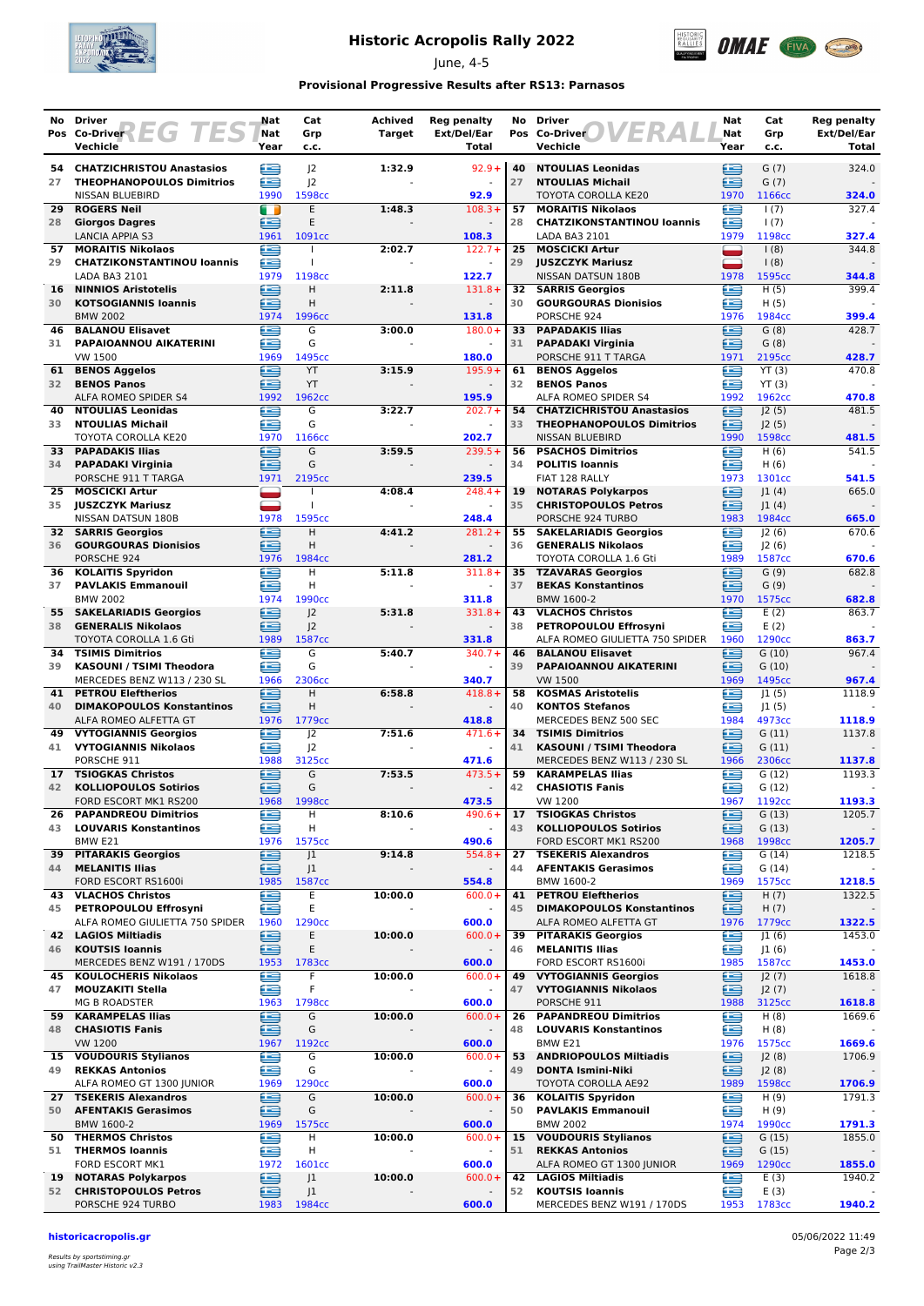

## **Historic Acropolis Rally 2022**

June, 4-5



### **Provisional Progressive Results after RS13: Parnasos**

| No.             | <b>Driver</b>                                            | Nat            | Cat                                  | Achived | Reg penalty                          | No       | <b>Driver</b>                                                        | Nat         | Cat              | <b>Reg penalty</b>   |
|-----------------|----------------------------------------------------------|----------------|--------------------------------------|---------|--------------------------------------|----------|----------------------------------------------------------------------|-------------|------------------|----------------------|
|                 | Pos Co-Driver<br>EG<br>Vechicle                          | Nat<br>Year    | Grp<br>c.c.                          | Target  | Ext/Del/Ear<br><b>Total</b>          |          | Pos Co-Driver<br>Vechicle                                            | Nat<br>Year | Grp<br>c.c.      | Ext/Del/Ear<br>Total |
|                 | 54 CHATZICHRISTOU Anastasios                             | ⋐              | J <sub>2</sub>                       | 1:32.9  | $92.9 +$                             | 40       | <b>NTOULIAS Leonidas</b>                                             | ≘           | G(7)             | 324.0                |
| 27              | <b>THEOPHANOPOULOS Dimitrios</b>                         | £              | 2                                    |         |                                      | 27       | <b>NTOULIAS Michail</b>                                              | œ           | G(7)             |                      |
|                 | <b>NISSAN BLUEBIRD</b>                                   | 1990           | 1598cc                               |         | 92.9                                 |          | TOYOTA COROLLA KE20                                                  | 1970        | 1166cc           | 324.0                |
| 29              | <b>ROGERS Neil</b>                                       | m              | E                                    | 1:48.3  | $108.3+$                             | 57       | <b>MORAITIS Nikolaos</b>                                             | £           | 1(7)             | 327.4                |
| 28              | <b>Giorgos Dagres</b><br><b>LANCIA APPIA S3</b>          | ≘<br>1961      | E<br>1091cc                          |         | 108.3                                | 28       | <b>CHATZIKONSTANTINOU loannis</b><br>LADA BA3 2101                   | œ<br>1979   | 1(7)<br>1198cc   | 327.4                |
| 57              | <b>MORAITIS Nikolaos</b>                                 | £              |                                      | 2:02.7  | $122.7+$                             | 25       | <b>MOSCICKI Artur</b>                                                |             | 1(8)             | 344.8                |
| 29              | <b>CHATZIKONSTANTINOU loannis</b>                        | £              |                                      |         | $\omega$                             | 29       | <b>JUSZCZYK Mariusz</b>                                              | ▄           | $\frac{1(8)}{2}$ |                      |
| 16              | LADA BA3 2101<br><b>NINNIOS Aristotelis</b>              | 1979<br>e      | 1198cc<br>H                          | 2:11.8  | 122.7<br>$131.8+$                    | 32       | NISSAN DATSUN 180B                                                   | 1978<br>œ   | 1595cc<br>H(5)   | 344.8<br>399.4       |
| 30              | <b>KOTSOGIANNIS Ioannis</b>                              | $\blacksquare$ | H                                    |         |                                      | 30       | <b>SARRIS Georgios</b><br><b>GOURGOURAS Dionisios</b>                | £           | H(5)             |                      |
|                 | <b>BMW 2002</b>                                          | 1974           | 1996cc                               |         | 131.8                                |          | PORSCHE 924                                                          | 1976        | 1984cc           | 399.4                |
| 46              | <b>BALANOU Elisavet</b>                                  | £              | G                                    | 3:00.0  | $180.0+$                             | 33       | <b>PAPADAKIS Ilias</b>                                               | £           | G(8)             | 428.7                |
| 31              | PAPAIOANNOU AIKATERINI<br>VW 1500                        | œ<br>1969      | G<br>1495cc                          |         | 180.0                                | 31       | <b>PAPADAKI Virginia</b><br>PORSCHE 911 T TARGA                      | œ<br>1971   | G(8)<br>2195cc   | 428.7                |
| 61              | <b>BENOS Aggelos</b>                                     | œ              | YT                                   | 3:15.9  | $195.9+$                             | 61       | <b>BENOS Aggelos</b>                                                 | œ           | YT(3)            | 470.8                |
| 32              | <b>BENOS Panos</b>                                       | 鱼              | YT                                   |         |                                      | 32       | <b>BENOS Panos</b>                                                   | œ           | YT(3)            |                      |
|                 | ALFA ROMEO SPIDER S4                                     | 1992           | 1962cc<br>G                          |         | 195.9                                |          | ALFA ROMEO SPIDER S4                                                 | 1992        | 1962cc           | 470.8                |
| 40<br>33        | <b>NTOULIAS Leonidas</b><br><b>NTOULIAS Michail</b>      | œ<br>£         | G                                    | 3:22.7  | $202.7+$                             | 54<br>33 | <b>CHATZICHRISTOU Anastasios</b><br><b>THEOPHANOPOULOS Dimitrios</b> | ≘<br>œ      | J2(5)<br>J2(5)   | 481.5                |
|                 | TOYOTA COROLLA KE20                                      | 1970           | 1166cc                               |         | 202.7                                |          | NISSAN BLUEBIRD                                                      | 1990        | 1598cc           | 481.5                |
| 33              | <b>PAPADAKIS Ilias</b>                                   | £              | G                                    | 3:59.5  | $239.5+$                             | 56       | <b>PSACHOS Dimitrios</b>                                             | œ           | H(6)             | 541.5                |
| 34              | <b>PAPADAKI Virginia</b><br>PORSCHE 911 T TARGA          | œ<br>1971      | G<br>2195cc                          |         | 239.5                                | 34       | <b>POLITIS Ioannis</b><br>FIAT 128 RALLY                             | œ<br>1973   | H(6)<br>1301cc   | 541.5                |
| 25              | <b>MOSCICKI Artur</b>                                    |                |                                      | 4:08.4  | $248.4 +$                            | 19       | <b>NOTARAS Polykarpos</b>                                            | ⊟           | 1(4)             | 665.0                |
| 35              | <b>JUSZCZYK Mariusz</b>                                  |                | T                                    |         |                                      | 35       | <b>CHRISTOPOULOS Petros</b>                                          | ≘           | 1(4)             |                      |
|                 | NISSAN DATSUN 180B                                       | 1978           | 1595cc                               |         | 248.4                                |          | PORSCHE 924 TURBO                                                    | 1983        | 1984cc           | 665.0                |
| 36              | <b>32 SARRIS Georgios</b><br><b>GOURGOURAS Dionisios</b> | £<br>£         | H<br>H                               | 4:41.2  | $281.2 +$                            | 55<br>36 | <b>SAKELARIADIS Georgios</b><br><b>GENERALIS Nikolaos</b>            | œ<br>œ      | J2(6)<br>J2(6)   | 670.6                |
|                 | PORSCHE 924                                              | 1976           | 1984cc                               |         | 281.2                                |          | TOYOTA COROLLA 1.6 Gti                                               | 1989        | 1587cc           | 670.6                |
| 36              | <b>KOLAITIS Spyridon</b>                                 | £              | н                                    | 5:11.8  | $311.8+$                             | 35       | <b>TZAVARAS Georgios</b>                                             | E           | G(9)             | 682.8                |
| 37              | <b>PAVLAKIS Emmanouil</b>                                | £              | H                                    |         |                                      | 37       | <b>BEKAS Konstantinos</b>                                            | ≘           | G(9)             |                      |
| 55              | <b>BMW 2002</b><br><b>SAKELARIADIS Georgios</b>          | 1974<br>∈      | 1990 <sub>cc</sub><br>J <sub>2</sub> | 5:31.8  | 311.8<br>$331.8+$                    | 43       | BMW 1600-2<br><b>VLACHOS Christos</b>                                | 1970<br>£   | 1575cc<br>E(2)   | 682.8<br>863.7       |
| 38              | <b>GENERALIS Nikolaos</b>                                | Æ              | 2                                    |         |                                      | 38       | PETROPOULOU Effrosyni                                                | œ           | E(2)             |                      |
|                 | TOYOTA COROLLA 1.6 Gti                                   | 1989           | 1587cc                               |         | 331.8                                |          | ALFA ROMEO GIULIETTA 750 SPIDER                                      | 1960        | 1290cc           | 863.7                |
| 34              | <b>TSIMIS Dimitrios</b>                                  | œ              | G                                    | 5:40.7  | $340.7 +$                            | 46       | <b>BALANOU Elisavet</b>                                              | œ           | G(10)            | 967.4                |
| 39              | KASOUNI / TSIMI Theodora<br>MERCEDES BENZ W113 / 230 SL  | £<br>1966      | G<br>2306сс                          |         | 340.7                                | 39       | PAPAIOANNOU AIKATERINI<br><b>VW 1500</b>                             | œ<br>1969   | G(10)<br>1495cc  | 967.4                |
| 41              | <b>PETROU Eleftherios</b>                                | £              | Н                                    | 6:58.8  | $418.8 +$                            | 58       | <b>KOSMAS Aristotelis</b>                                            | £           | 1(5)             | 1118.9               |
| 40              | <b>DIMAKOPOULOS Konstantinos</b>                         | £              | H                                    |         | $\sim$                               | 40       | <b>KONTOS Stefanos</b>                                               | £           | 1(5)             |                      |
| 49              | ALFA ROMEO ALFETTA GT<br><b>VYTOGIANNIS Georgios</b>     | 1976<br>œ      | 1779 <sub>cc</sub><br>J <sub>2</sub> | 7:51.6  | 418.8<br>$471.6+$                    | 34       | MERCEDES BENZ 500 SEC<br><b>TSIMIS Dimitrios</b>                     | 1984<br>⊟   | 4973cc<br>G(11)  | 1118.9<br>1137.8     |
| 41              | <b>VYTOGIANNIS Nikolaos</b>                              | £              | 2                                    |         | $\omega$                             | 41       | KASOUNI / TSIMI Theodora                                             | œ           | G(11)            |                      |
|                 | PORSCHE 911                                              | 1988           | 3125cc                               |         | 471.6                                |          | MERCEDES BENZ W113 / 230 SL                                          | 1966        | 2306cc           | 1137.8               |
| 17 <sub>1</sub> | <b>TSIOGKAS Christos</b>                                 | €              | G                                    | 7:53.5  | $473.5+$                             | 59       | <b>KARAMPELAS Ilias</b>                                              | ≘           | G(12)            | 1193.3               |
| 42              | <b>KOLLIOPOULOS Sotirios</b><br>FORD ESCORT MK1 RS200    | ≘<br>1968      | G<br>1998cc                          |         | 473.5                                | 42       | <b>CHASIOTIS Fanis</b><br><b>VW 1200</b>                             | £<br>1967   | G(12)<br>1192cc  | 1193.3               |
| 26              | <b>PAPANDREOU Dimitrios</b>                              | e              | н                                    | 8:10.6  | $490.6+$                             | 17       | <b>TSIOGKAS Christos</b>                                             | e           | G(13)            | 1205.7               |
| 43              | <b>LOUVARIS Konstantinos</b>                             | £              | н                                    |         | $\frac{1}{2}$                        | 43       | <b>KOLLIOPOULOS Sotirios</b>                                         | ≘           | G(13)            |                      |
|                 | BMW E21                                                  | 1976           | 1575cc                               |         | 490.6                                |          | FORD ESCORT MK1 RS200                                                | 1968        | 1998cc           | 1205.7               |
| 39<br>44        | <b>PITARAKIS Georgios</b><br><b>MELANITIS Ilias</b>      | €<br>∈         | J1<br>$\vert$ 1                      | 9:14.8  | $554.8+$                             | 27<br>44 | <b>TSEKERIS Alexandros</b><br><b>AFENTAKIS Gerasimos</b>             | e<br>≘      | G(14)<br>G(14)   | 1218.5               |
|                 | FORD ESCORT RS1600i                                      | 1985           | 1587cc                               |         | 554.8                                |          | BMW 1600-2                                                           | 1969        | 1575cc           | 1218.5               |
| 43              | <b>VLACHOS Christos</b>                                  | Œ              | Ε                                    | 10:00.0 | $600.0+$                             | 41       | <b>PETROU Eleftherios</b>                                            | ⊜           | H(7)             | 1322.5               |
| 45              | PETROPOULOU Effrosyni<br>ALFA ROMEO GIULIETTA 750 SPIDER | £<br>1960      | Ε<br>1290cc                          |         | $\blacksquare$<br>600.0              | 45       | <b>DIMAKOPOULOS Konstantinos</b><br>ALFA ROMEO ALFETTA GT            | ≘<br>1976   | H(7)<br>1779cc   | 1322.5               |
| 42              | <b>LAGIOS Miltiadis</b>                                  | ∈              | E                                    | 10:00.0 | $600.0+$                             | 39       | <b>PITARAKIS Georgios</b>                                            | œ           | J1(6)            | 1453.0               |
| 46              | <b>KOUTSIS Ioannis</b>                                   | ∈              | Ε                                    |         | $\overline{\phantom{a}}$             | 46       | <b>MELANITIS Ilias</b>                                               | £           | J1(6)            |                      |
|                 | MERCEDES BENZ W191 / 170DS                               | 1953           | 1783cc                               |         | 600.0                                |          | FORD ESCORT RS1600i                                                  | 1985        | 1587cc           | 1453.0               |
| 47              | 45 KOULOCHERIS Nikolaos<br><b>MOUZAKITI Stella</b>       | œ<br>€         | F<br>F                               | 10:00.0 | $600.0+$                             | 49<br>47 | <b>VYTOGIANNIS Georgios</b><br><b>VYTOGIANNIS Nikolaos</b>           | ⊟<br>∈      | J2(7)<br>J2(7)   | 1618.8               |
|                 | MG B ROADSTER                                            | 1963           | 1798cc                               |         | 600.0                                |          | PORSCHE 911                                                          | 1988        | 3125cc           | 1618.8               |
| 59              | <b>KARAMPELAS Ilias</b>                                  | G              | G                                    | 10:00.0 | $600.0+$                             | 26       | <b>PAPANDREOU Dimitrios</b>                                          | ⊜           | H(8)             | 1669.6               |
| 48              | <b>CHASIOTIS Fanis</b><br><b>VW 1200</b>                 | £<br>1967      | G<br>1192cc                          |         | 600.0                                | 48       | <b>LOUVARIS Konstantinos</b><br>BMW E21                              | ⊜<br>1976   | H(8)<br>1575cc   | 1669.6               |
| 15              | <b>VOUDOURIS Stylianos</b>                               | e              | G                                    | 10:00.0 | $600.0+$                             | 53       | <b>ANDRIOPOULOS Miltiadis</b>                                        | ⊟           | J2(8)            | 1706.9               |
| 49              | <b>REKKAS Antonios</b>                                   | ē              | G                                    |         | $\overline{\phantom{a}}$             | 49       | <b>DONTA Ismini-Niki</b>                                             | ≘           | J2(8)            |                      |
|                 | ALFA ROMEO GT 1300 JUNIOR                                | 1969           | 1290 <sub>cc</sub>                   |         | 600.0                                |          | TOYOTA COROLLA AE92                                                  | 1989        | 1598cc           | 1706.9               |
| 27<br>50        | <b>TSEKERIS Alexandros</b><br><b>AFENTAKIS Gerasimos</b> | £<br>∈         | G<br>G                               | 10:00.0 | $600.0+$<br>$\overline{\phantom{a}}$ | 36<br>50 | <b>KOLAITIS Spyridon</b><br><b>PAVLAKIS Emmanouil</b>                | £<br>œ      | H(9)<br>H(9)     | 1791.3               |
|                 | BMW 1600-2                                               | 1969           | 1575cc                               |         | 600.0                                |          | <b>BMW 2002</b>                                                      | 1974        | 1990cc           | 1791.3               |
|                 | 50 THERMOS Christos                                      | œ              | н                                    | 10:00.0 | $600.0+$                             | 15       | <b>VOUDOURIS Stylianos</b>                                           | €           | G(15)            | 1855.0               |
| 51              | <b>THERMOS loannis</b>                                   | ≘              | н                                    |         | $\blacksquare$                       | 51       | <b>REKKAS Antonios</b>                                               | ≘           | G(15)            |                      |
| 19              | FORD ESCORT MK1<br><b>NOTARAS Polykarpos</b>             | 1972<br>€      | 1601cc<br>J <sub>1</sub>             | 10:00.0 | 600.0<br>$600.0+$                    | 42       | ALFA ROMEO GT 1300 JUNIOR<br><b>LAGIOS Miltiadis</b>                 | 1969<br>€   | 1290cc<br>E(3)   | 1855.0<br>1940.2     |
| 52              | <b>CHRISTOPOULOS Petros</b>                              | ⊟              | J <sub>1</sub>                       |         |                                      | 52       | <b>KOUTSIS Ioannis</b>                                               | œ           | E(3)             |                      |
|                 | PORSCHE 924 TURBO                                        | 1983           | 1984 <sub>cc</sub>                   |         | 600.0                                |          | MERCEDES BENZ W191 / 170DS                                           | 1953        | 1783cc           | 1940.2               |